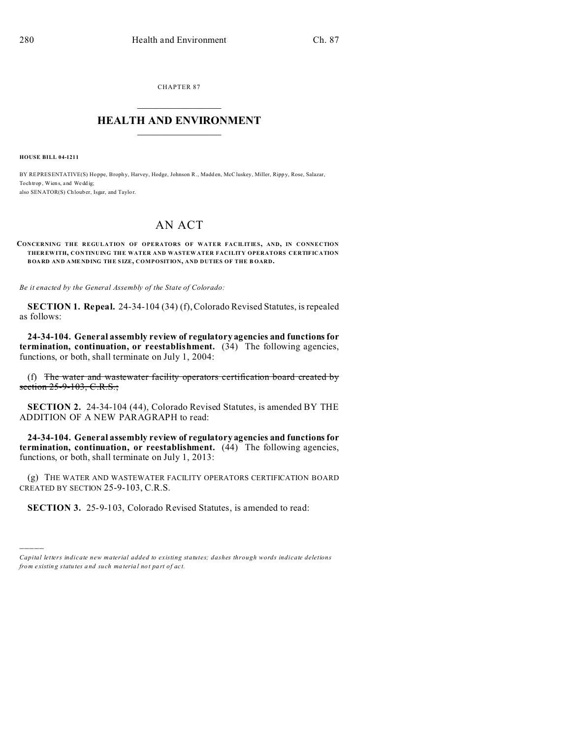**CHAPTER 87** 

## **HEALTH AND ENVIRONMENT**

**HOUSE BILL 04-1211** 

BY REPRESENTATIVE(S) Hoppe, Brophy, Harvey, Hodge, Johnson R., Madden, McCluskey, Miller, Rippy, Rose, Salazar, To chtrop, Wiens, and Weddig: also SENATOR(S) Chlouber, Isgar, and Taylor.

# AN ACT

#### CONCERNING THE REGULATION OF OPERATORS OF WATER FACILITIES, AND, IN CONNECTION THEREWITH, CONTINUING THE WATER AND WASTEWATER FACILITY OPERATORS CERTIFICATION BOARD AND AMENDING THE SIZE, COMPOSITION, AND DUTIES OF THE BOARD.

Be it enacted by the General Assembly of the State of Colorado:

SECTION 1. Repeal. 24-34-104 (34) (f), Colorado Revised Statutes, is repealed as follows:

24-34-104. General assembly review of regulatory agencies and functions for termination, continuation, or reestablishment. (34) The following agencies, functions, or both, shall terminate on July 1, 2004:

(f) The water and wastewater facility operators certification board created by section 25-9-103, C.R.S.;

SECTION 2. 24-34-104 (44), Colorado Revised Statutes, is amended BY THE ADDITION OF A NEW PARAGRAPH to read:

24-34-104. General assembly review of regulatory agencies and functions for termination, continuation, or reestablishment. (44) The following agencies, functions, or both, shall terminate on July 1, 2013:

(g) THE WATER AND WASTEWATER FACILITY OPERATORS CERTIFICATION BOARD CREATED BY SECTION 25-9-103, C.R.S.

SECTION 3. 25-9-103, Colorado Revised Statutes, is amended to read:

Capital letters indicate new material added to existing statutes; dashes through words indicate deletions from existing statutes and such material not part of act.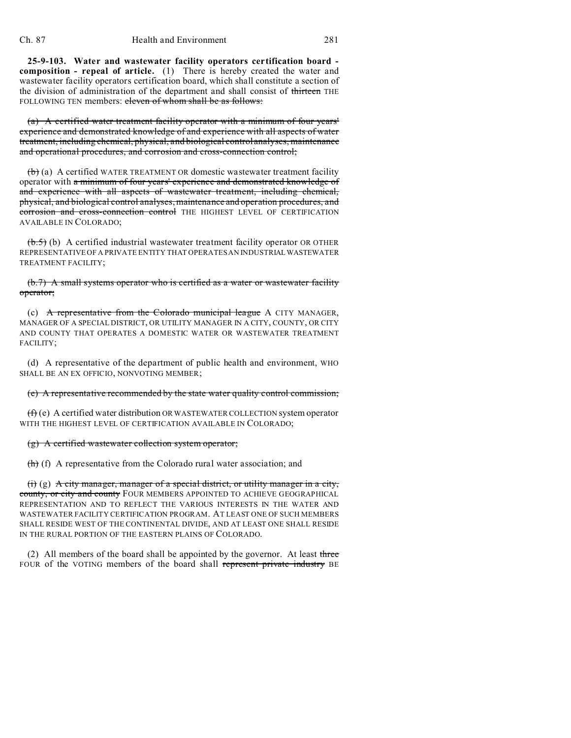**25-9-103. Water and wastewater facility operators certification board composition - repeal of article.** (1) There is hereby created the water and wastewater facility operators certification board, which shall constitute a section of the division of administration of the department and shall consist of thirteen THE FOLLOWING TEN members: eleven of whom shall be as follows:

(a) A certified water treatment facility operator with a minimum of four years' experience and demonstrated knowledge of and experience with all aspects of water treatment, including chemical, physical, and biological control analyses, maintenance and operational procedures, and corrosion and cross-connection control;

 $(b)$  (a) A certified WATER TREATMENT OR domestic wastewater treatment facility operator with a minimum of four years' experience and demonstrated knowledge of and experience with all aspects of wastewater treatment, including chemical, physical, and biological control analyses, maintenance and operation procedures, and corrosion and cross-connection control THE HIGHEST LEVEL OF CERTIFICATION AVAILABLE IN COLORADO;

 $(b.5)$  (b) A certified industrial wastewater treatment facility operator OR OTHER REPRESENTATIVE OF A PRIVATE ENTITY THAT OPERATES AN INDUSTRIALWASTEWATER TREATMENT FACILITY;

### (b.7) A small systems operator who is certified as a water or wastewater facility operator;

(c) A representative from the Colorado municipal league A CITY MANAGER, MANAGER OF A SPECIAL DISTRICT, OR UTILITY MANAGER IN A CITY, COUNTY, OR CITY AND COUNTY THAT OPERATES A DOMESTIC WATER OR WASTEWATER TREATMENT FACILITY;

(d) A representative of the department of public health and environment, WHO SHALL BE AN EX OFFICIO, NONVOTING MEMBER;

#### (e) A representative recommended by the state water quality control commission;

 $(f)$  (e) A certified water distribution OR WASTEWATER COLLECTION system operator WITH THE HIGHEST LEVEL OF CERTIFICATION AVAILABLE IN COLORADO;

### (g) A certified wastewater collection system operator;

(h) (f) A representative from the Colorado rural water association; and

(i) (g) A city manager, manager of a special district, or utility manager in a city, county, or city and county FOUR MEMBERS APPOINTED TO ACHIEVE GEOGRAPHICAL REPRESENTATION AND TO REFLECT THE VARIOUS INTERESTS IN THE WATER AND WASTEWATER FACILITY CERTIFICATION PROGRAM. AT LEAST ONE OF SUCH MEMBERS SHALL RESIDE WEST OF THE CONTINENTAL DIVIDE, AND AT LEAST ONE SHALL RESIDE IN THE RURAL PORTION OF THE EASTERN PLAINS OF COLORADO.

(2) All members of the board shall be appointed by the governor. At least three FOUR of the VOTING members of the board shall represent private industry BE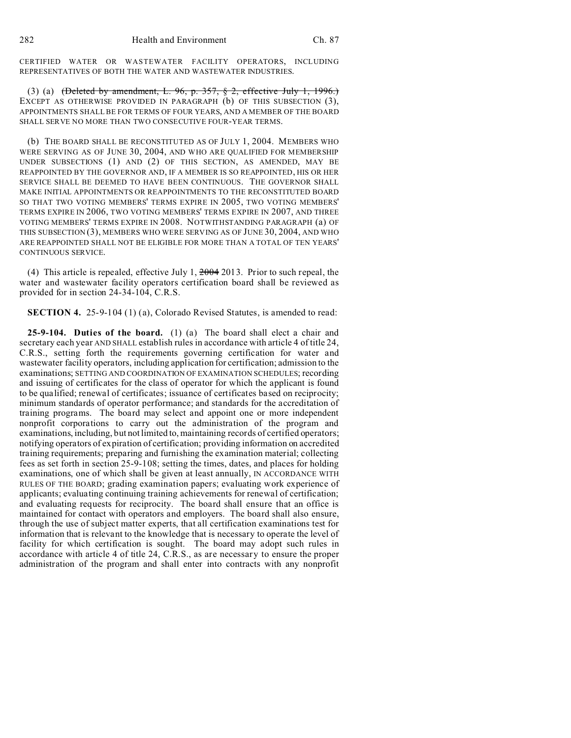CERTIFIED WATER OR WASTEWATER FACILITY OPERATORS, INCLUDING REPRESENTATIVES OF BOTH THE WATER AND WASTEWATER INDUSTRIES.

(3) (a)  $(\text{Delta by amendment, L. 96, p. 357, § 2, effective July 1, 1996.)}$ EXCEPT AS OTHERWISE PROVIDED IN PARAGRAPH (b) OF THIS SUBSECTION (3), APPOINTMENTS SHALL BE FOR TERMS OF FOUR YEARS, AND A MEMBER OF THE BOARD SHALL SERVE NO MORE THAN TWO CONSECUTIVE FOUR-YEAR TERMS.

(b) THE BOARD SHALL BE RECONSTITUTED AS OF JULY 1, 2004. MEMBERS WHO WERE SERVING AS OF JUNE 30, 2004, AND WHO ARE QUALIFIED FOR MEMBERSHIP UNDER SUBSECTIONS (1) AND (2) OF THIS SECTION, AS AMENDED, MAY BE REAPPOINTED BY THE GOVERNOR AND, IF A MEMBER IS SO REAPPOINTED, HIS OR HER SERVICE SHALL BE DEEMED TO HAVE BEEN CONTINUOUS. THE GOVERNOR SHALL MAKE INITIAL APPOINTMENTS OR REAPPOINTMENTS TO THE RECONSTITUTED BOARD SO THAT TWO VOTING MEMBERS' TERMS EXPIRE IN 2005, TWO VOTING MEMBERS' TERMS EXPIRE IN 2006, TWO VOTING MEMBERS' TERMS EXPIRE IN 2007, AND THREE VOTING MEMBERS' TERMS EXPIRE IN 2008. NOTWITHSTANDING PARAGRAPH (a) OF THIS SUBSECTION (3), MEMBERS WHO WERE SERVING AS OF JUNE 30, 2004, AND WHO ARE REAPPOINTED SHALL NOT BE ELIGIBLE FOR MORE THAN A TOTAL OF TEN YEARS' CONTINUOUS SERVICE.

(4) This article is repealed, effective July 1, 2004 2013. Prior to such repeal, the water and wastewater facility operators certification board shall be reviewed as provided for in section 24-34-104, C.R.S.

**SECTION 4.** 25-9-104 (1) (a), Colorado Revised Statutes, is amended to read:

**25-9-104. Duties of the board.** (1) (a) The board shall elect a chair and secretary each year AND SHALL establish rules in accordance with article 4 of title 24, C.R.S., setting forth the requirements governing certification for water and wastewater facility operators, including application for certification; admission to the examinations; SETTING AND COORDINATION OF EXAMINATION SCHEDULES; recording and issuing of certificates for the class of operator for which the applicant is found to be qualified; renewal of certificates; issuance of certificates based on reciprocity; minimum standards of operator performance; and standards for the accreditation of training programs. The board may select and appoint one or more independent nonprofit corporations to carry out the administration of the program and examinations, including, but not limited to, maintaining records of certified operators; notifying operators of expiration of certification; providing information on accredited training requirements; preparing and furnishing the examination material; collecting fees as set forth in section 25-9-108; setting the times, dates, and places for holding examinations, one of which shall be given at least annually, IN ACCORDANCE WITH RULES OF THE BOARD; grading examination papers; evaluating work experience of applicants; evaluating continuing training achievements for renewal of certification; and evaluating requests for reciprocity. The board shall ensure that an office is maintained for contact with operators and employers. The board shall also ensure, through the use of subject matter experts, that all certification examinations test for information that is relevant to the knowledge that is necessary to operate the level of facility for which certification is sought. The board may adopt such rules in accordance with article 4 of title 24, C.R.S., as are necessary to ensure the proper administration of the program and shall enter into contracts with any nonprofit